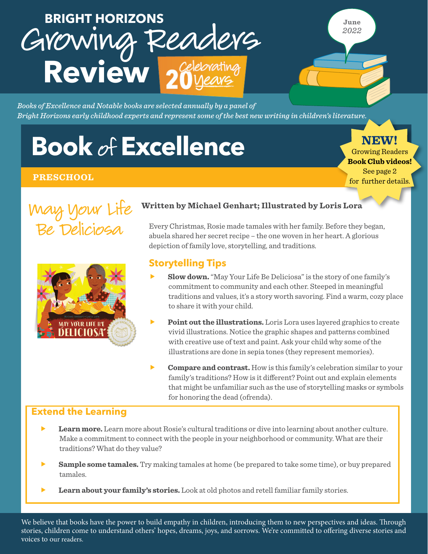## BRIGHT HORIZONS<br>GYOWING REAderG **Review BRIGHT HORIZONS**

**June** *2022*

*Books of Excellence and Notable books are selected annually by a panel of Bright Horizons early childhood experts and represent some of the best new writing in children's literature.*

# **Book of Excellence**

#### **PRESCHOOL**

**NEW!** Growing Readers **Book Club videos!**

See page 2 for further details.





#### **Written by Michael Genhart; Illustrated by Loris Lora**

Every Christmas, Rosie made tamales with her family. Before they began, abuela shared her secret recipe – the one woven in her heart. A glorious depiction of family love, storytelling, and traditions.

#### **Storytelling Tips**

- **Slow down.** "May Your Life Be Deliciosa" is the story of one family's commitment to community and each other. Steeped in meaningful traditions and values, it's a story worth savoring. Find a warm, cozy place to share it with your child.
- **Point out the illustrations.** Loris Lora uses layered graphics to create vivid illustrations. Notice the graphic shapes and patterns combined with creative use of text and paint. Ask your child why some of the illustrations are done in sepia tones (they represent memories).
- **Follow Franch Compare and contrast.** How is this family's celebration similar to your family's traditions? How is it different? Point out and explain elements that might be unfamiliar such as the use of storytelling masks or symbols for honoring the dead (ofrenda).

#### **Extend the Learning**

- **Learn more.** Learn more about Rosie's cultural traditions or dive into learning about another culture. Make a commitment to connect with the people in your neighborhood or community. What are their traditions? What do they value?
- **Sample some tamales.** Try making tamales at home (be prepared to take some time), or buy prepared tamales.
- **Learn about your family's stories.** Look at old photos and retell familiar family stories.

We believe that books have the power to build empathy in children, introducing them to new perspectives and ideas. Through stories, children come to understand others' hopes, dreams, joys, and sorrows. We're committed to offering diverse stories and voices to our readers.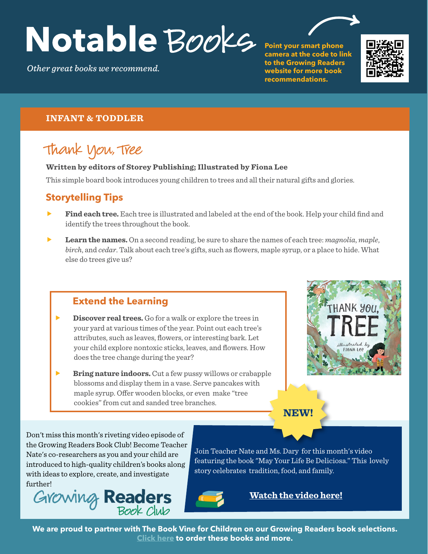# Notable Books

*Other great books we recommend.*

**Point your smart phone camera at the code to link to the Growing Readers website for more book recommendations.**



#### **INFANT & TODDLER**

### Thank You, Tree

#### **Written by editors of Storey Publishing; Illustrated by Fiona Lee**

This simple board book introduces young children to trees and all their natural gifts and glories.

#### **Storytelling Tips**

- **Find each tree.** Each tree is illustrated and labeled at the end of the book. Help your child find and identify the trees throughout the book.
- **Learn the names.** On a second reading, be sure to share the names of each tree: *magnolia*, *maple*, *birch*, and *cedar*. Talk about each tree's gifts, such as flowers, maple syrup, or a place to hide. What else do trees give us?

#### **Extend the Learning**

- **Discover real trees.** Go for a walk or explore the trees in your yard at various times of the year. Point out each tree's attributes, such as leaves, flowers, or interesting bark. Let your child explore nontoxic sticks, leaves, and flowers. How does the tree change during the year?
- **Bring nature indoors.** Cut a few pussy willows or crabapple blossoms and display them in a vase. Serve pancakes with maple syrup. Offer wooden blocks, or even make "tree cookies" from cut and sanded tree branches.



#### **NEW!**

Don't miss this month's riveting video episode of the Growing Readers Book Club! Become Teacher Nate's co-researchers as you and your child are introduced to high-quality children's books along with ideas to explore, create, and investigate further!



Join Teacher Nate and Ms. Dary for this month's video featuring the book "May Your Life Be Deliciosa." This lovely story celebrates tradition, food, and family.



**[Watch the video here](https://2300951-1.mediaspace.kaltura.com/media/GRBC_June+2022_Final/1_xdf8x3el?layout=basic)!** 

**We are proud to partner with The Book Vine for Children on our Growing Readers book selections. [Click here](https://www.bookvine.com/) to order these books and more.**